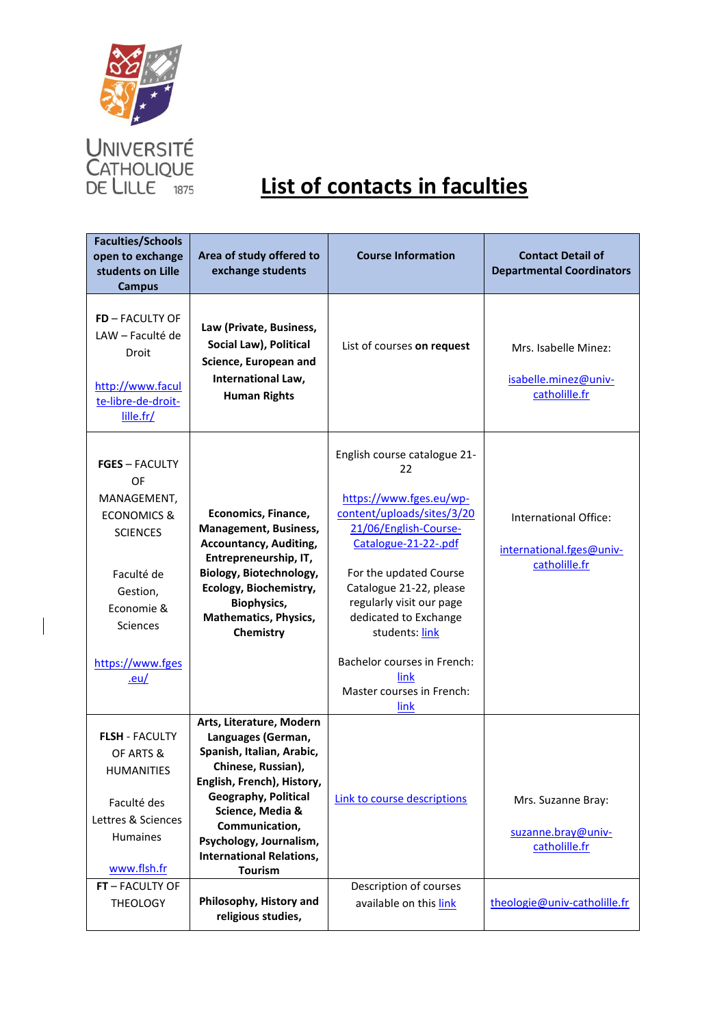

 $\overline{\phantom{a}}$ 

| <b>Faculties/Schools</b><br>open to exchange<br>students on Lille<br><b>Campus</b>                                                                                             | Area of study offered to<br>exchange students                                                                                                                                                                                                                                        | <b>Course Information</b>                                                                                                                                                                                                                                                                                                                            | <b>Contact Detail of</b><br><b>Departmental Coordinators</b>       |
|--------------------------------------------------------------------------------------------------------------------------------------------------------------------------------|--------------------------------------------------------------------------------------------------------------------------------------------------------------------------------------------------------------------------------------------------------------------------------------|------------------------------------------------------------------------------------------------------------------------------------------------------------------------------------------------------------------------------------------------------------------------------------------------------------------------------------------------------|--------------------------------------------------------------------|
| FD - FACULTY OF<br>LAW - Faculté de<br>Droit<br>http://www.facul<br>te-libre-de-droit-<br>lille.fr/                                                                            | Law (Private, Business,<br>Social Law), Political<br>Science, European and<br>International Law,<br><b>Human Rights</b>                                                                                                                                                              | List of courses on request                                                                                                                                                                                                                                                                                                                           | Mrs. Isabelle Minez:<br>isabelle.minez@univ-<br>catholille.fr      |
| <b>FGES</b> - FACULTY<br>OF<br>MANAGEMENT,<br><b>ECONOMICS &amp;</b><br><b>SCIENCES</b><br>Faculté de<br>Gestion,<br>Economie &<br>Sciences<br>https://www.fges<br><u>.eu/</u> | Economics, Finance,<br><b>Management, Business,</b><br><b>Accountancy, Auditing,</b><br>Entrepreneurship, IT,<br>Biology, Biotechnology,<br>Ecology, Biochemistry,<br><b>Biophysics,</b><br><b>Mathematics, Physics,</b><br>Chemistry                                                | English course catalogue 21-<br>22<br>https://www.fges.eu/wp-<br>content/uploads/sites/3/20<br>21/06/English-Course-<br>Catalogue-21-22-.pdf<br>For the updated Course<br>Catalogue 21-22, please<br>regularly visit our page<br>dedicated to Exchange<br>students: link<br>Bachelor courses in French:<br>link<br>Master courses in French:<br>link | International Office:<br>international.fges@univ-<br>catholille.fr |
| <b>FLSH - FACULTY</b><br>OF ARTS &<br><b>HUMANITIES</b><br>Faculté des<br>Lettres & Sciences<br><b>Humaines</b><br>www.flsh.fr<br>FT - FACULTY OF                              | Arts, Literature, Modern<br>Languages (German,<br>Spanish, Italian, Arabic,<br>Chinese, Russian),<br>English, French), History,<br><b>Geography, Political</b><br>Science, Media &<br>Communication,<br>Psychology, Journalism,<br><b>International Relations,</b><br><b>Tourism</b> | Link to course descriptions<br>Description of courses                                                                                                                                                                                                                                                                                                | Mrs. Suzanne Bray:<br>suzanne.bray@univ-<br>catholille.fr          |
| <b>THEOLOGY</b>                                                                                                                                                                | Philosophy, History and<br>religious studies,                                                                                                                                                                                                                                        | available on this link                                                                                                                                                                                                                                                                                                                               | theologie@univ-catholille.fr                                       |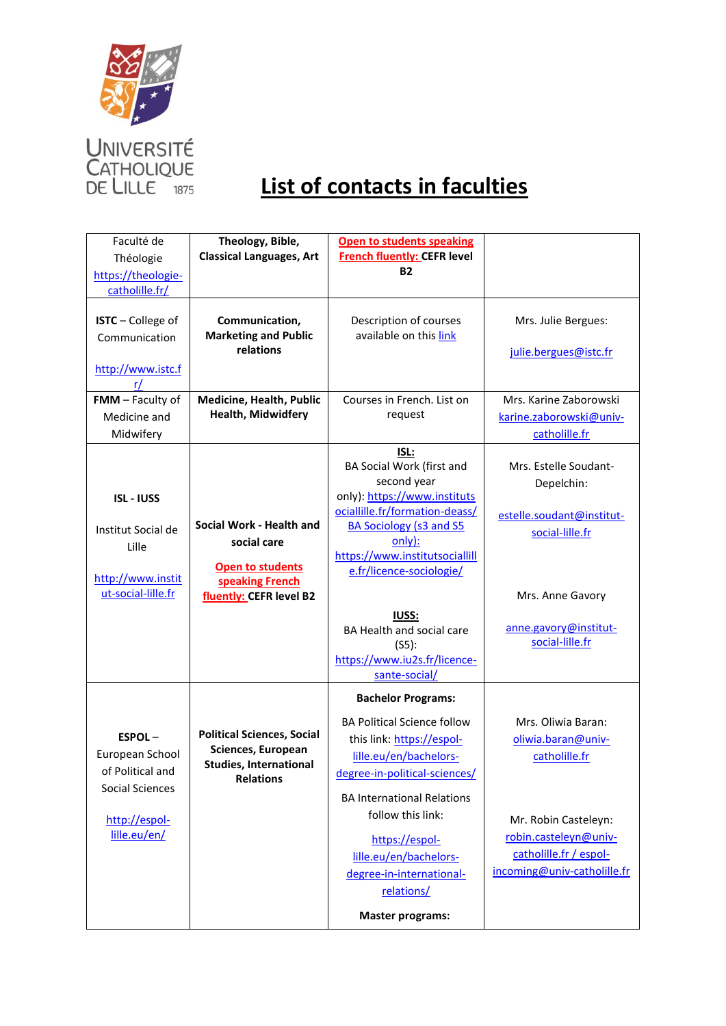

| Faculté de         | Theology, Bible,                              | <b>Open to students speaking</b>                 |                                          |
|--------------------|-----------------------------------------------|--------------------------------------------------|------------------------------------------|
| Théologie          | <b>Classical Languages, Art</b>               | <b>French fluently: CEFR level</b>               |                                          |
| https://theologie- |                                               | <b>B2</b>                                        |                                          |
| catholille.fr/     |                                               |                                                  |                                          |
|                    |                                               |                                                  |                                          |
| ISTC - College of  | Communication,<br><b>Marketing and Public</b> | Description of courses<br>available on this link | Mrs. Julie Bergues:                      |
| Communication      | relations                                     |                                                  | julie.bergues@istc.fr                    |
| http://www.istc.f  |                                               |                                                  |                                          |
| r/                 |                                               |                                                  |                                          |
| FMM - Faculty of   | Medicine, Health, Public                      | Courses in French. List on                       | Mrs. Karine Zaborowski                   |
| Medicine and       | Health, Midwidfery                            | request                                          | karine.zaborowski@univ-                  |
| Midwifery          |                                               |                                                  | catholille.fr                            |
|                    |                                               | ISL:                                             |                                          |
|                    |                                               | BA Social Work (first and                        | Mrs. Estelle Soudant-                    |
|                    |                                               | second year                                      | Depelchin:                               |
| <b>ISL-IUSS</b>    |                                               | only): https://www.instituts                     |                                          |
|                    | Social Work - Health and                      | ociallille.fr/formation-deass/                   | estelle.soudant@institut-                |
| Institut Social de | social care                                   | <b>BA Sociology (s3 and S5</b><br>only):         | social-lille.fr                          |
| Lille              |                                               | https://www.institutsociallill                   |                                          |
|                    | Open to students                              | e.fr/licence-sociologie/                         |                                          |
| http://www.instit  | speaking French                               |                                                  |                                          |
| ut-social-lille.fr | fluently: CEFR level B2                       |                                                  | Mrs. Anne Gavory                         |
|                    |                                               | <b>IUSS:</b>                                     |                                          |
|                    |                                               | BA Health and social care                        | anne.gavory@institut-<br>social-lille.fr |
|                    |                                               | (S5):<br>https://www.iu2s.fr/licence-            |                                          |
|                    |                                               | sante-social/                                    |                                          |
|                    |                                               | <b>Bachelor Programs:</b>                        |                                          |
|                    |                                               |                                                  |                                          |
| $ESPOL -$          | <b>Political Sciences, Social</b>             | <b>BA Political Science follow</b>               | Mrs. Oliwia Baran:                       |
| European School    | Sciences, European                            | this link: https://espol-                        | oliwia.baran@univ-                       |
| of Political and   | <b>Studies, International</b>                 | lille.eu/en/bachelors-                           | catholille.fr                            |
| Social Sciences    | <b>Relations</b>                              | degree-in-political-sciences/                    |                                          |
|                    |                                               | <b>BA International Relations</b>                |                                          |
| http://espol-      |                                               | follow this link:                                | Mr. Robin Casteleyn:                     |
| lille.eu/en/       |                                               | https://espol-                                   | robin.casteleyn@univ-                    |
|                    |                                               | lille.eu/en/bachelors-                           | catholille.fr / espol-                   |
|                    |                                               | degree-in-international-                         | incoming@univ-catholille.fr              |
|                    |                                               | relations/                                       |                                          |
|                    |                                               |                                                  |                                          |
|                    |                                               | <b>Master programs:</b>                          |                                          |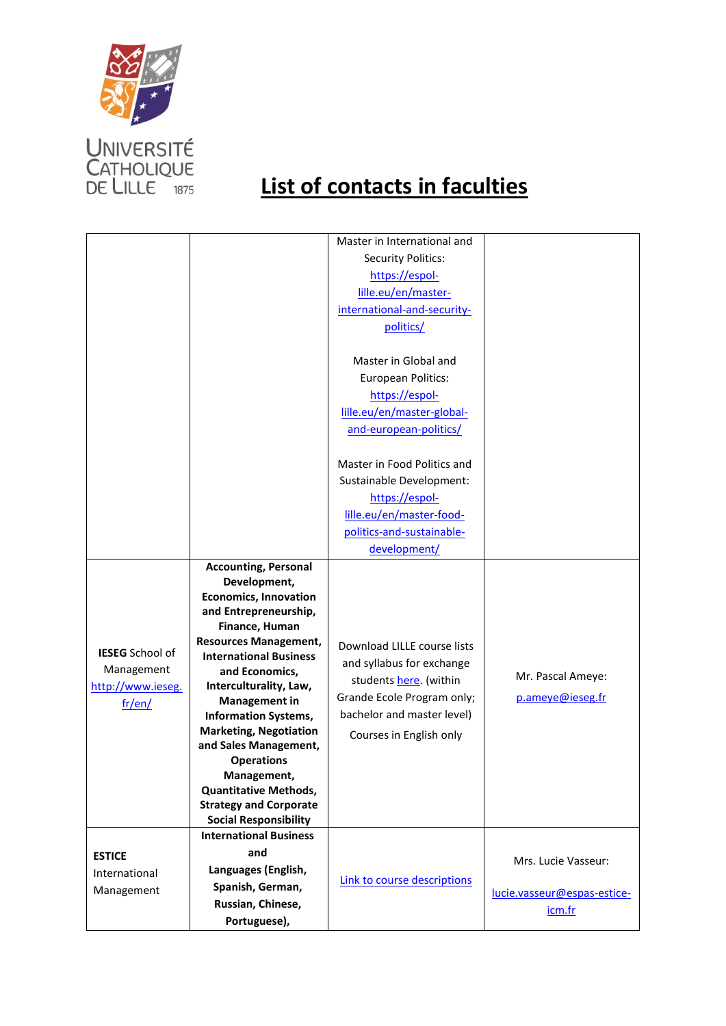

|                        |                                                     | Master in International and |                             |
|------------------------|-----------------------------------------------------|-----------------------------|-----------------------------|
|                        |                                                     | <b>Security Politics:</b>   |                             |
|                        |                                                     | https://espol-              |                             |
|                        |                                                     | lille.eu/en/master-         |                             |
|                        |                                                     | international-and-security- |                             |
|                        |                                                     |                             |                             |
|                        |                                                     | politics/                   |                             |
|                        |                                                     |                             |                             |
|                        |                                                     | Master in Global and        |                             |
|                        |                                                     | European Politics:          |                             |
|                        |                                                     | https://espol-              |                             |
|                        |                                                     | lille.eu/en/master-global-  |                             |
|                        |                                                     | and-european-politics/      |                             |
|                        |                                                     |                             |                             |
|                        |                                                     | Master in Food Politics and |                             |
|                        |                                                     | Sustainable Development:    |                             |
|                        |                                                     | https://espol-              |                             |
|                        |                                                     | lille.eu/en/master-food-    |                             |
|                        |                                                     | politics-and-sustainable-   |                             |
|                        |                                                     | development/                |                             |
|                        | <b>Accounting, Personal</b>                         |                             |                             |
|                        | Development,                                        |                             |                             |
|                        | <b>Economics, Innovation</b>                        |                             |                             |
|                        | and Entrepreneurship,                               |                             |                             |
|                        | Finance, Human                                      |                             |                             |
|                        | <b>Resources Management,</b>                        | Download LILLE course lists |                             |
| <b>IESEG</b> School of | <b>International Business</b>                       | and syllabus for exchange   |                             |
| Management             | and Economics,                                      | students here. (within      | Mr. Pascal Ameye:           |
| http://www.ieseg.      | Interculturality, Law,                              | Grande Ecole Program only;  | p.ameye@ieseg.fr            |
| fr/en/                 | <b>Management in</b><br><b>Information Systems,</b> | bachelor and master level)  |                             |
|                        | <b>Marketing, Negotiation</b>                       |                             |                             |
|                        | and Sales Management,                               | Courses in English only     |                             |
|                        | <b>Operations</b>                                   |                             |                             |
|                        | <b>Management</b>                                   |                             |                             |
|                        | <b>Quantitative Methods,</b>                        |                             |                             |
|                        | <b>Strategy and Corporate</b>                       |                             |                             |
|                        | <b>Social Responsibility</b>                        |                             |                             |
|                        | <b>International Business</b>                       |                             |                             |
| <b>ESTICE</b>          | and                                                 |                             | Mrs. Lucie Vasseur:         |
| International          | Languages (English,                                 |                             |                             |
| Management             | Spanish, German,                                    | Link to course descriptions | lucie.vasseur@espas-estice- |
|                        | Russian, Chinese,                                   |                             | icm.fr                      |
|                        | Portuguese),                                        |                             |                             |